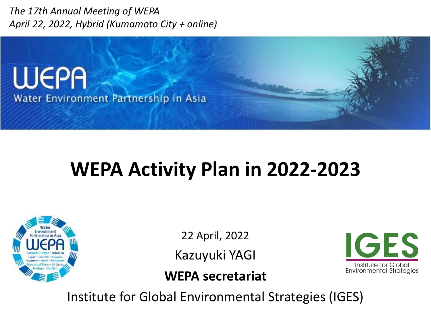*The 17th Annual Meeting of WEPA April 22, 2022, Hybrid (Kumamoto City + online)*



# **WEPA Activity Plan in 2022-2023**



22 April, 2022

Kazuyuki YAGI

**IGES** Institute for Global Environmental Strategies

**WEPA secretariat**

Institute for Global Environmental Strategies (IGES)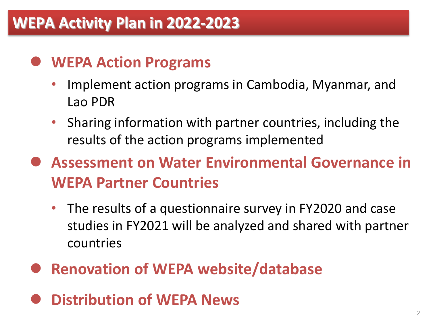## **WEPA Activity Plan in 2022-2023**

## **WEPA Action Programs**

- Implement action programs in Cambodia, Myanmar, and Lao PDR
- Sharing information with partner countries, including the results of the action programs implemented
- **Assessment on Water Environmental Governance in WEPA Partner Countries** 
	- The results of a questionnaire survey in FY2020 and case studies in FY2021 will be analyzed and shared with partner countries
- **Renovation of WEPA website/database**
- **Distribution of WEPA News**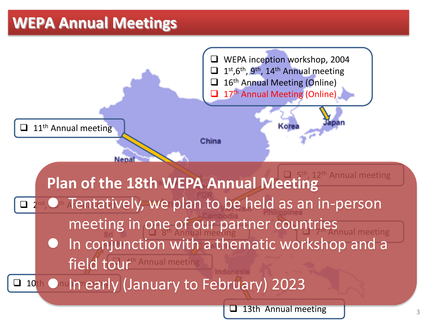## **WEPA Annual Meetings**

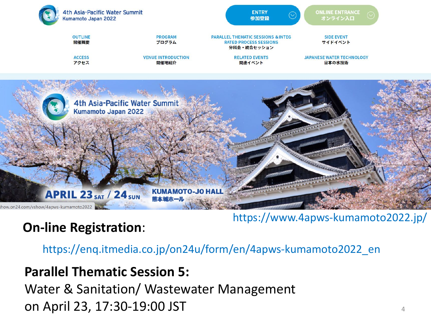

#### https://www.4apws-kumamoto2022.jp/

#### **On-line Registration**:

https://enq.itmedia.co.jp/on24u/form/en/4apws-kumamoto2022\_en

#### **Parallel Thematic Session 5:**

Water & Sanitation/ Wastewater Management on April 23, 17:30-19:00 JST